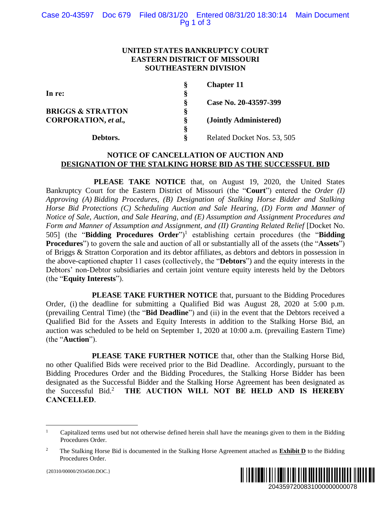## **UNITED STATES BANKRUPTCY COURT EASTERN DISTRICT OF MISSOURI SOUTHEASTERN DIVISION**

|    | <b>Chapter 11</b>           |
|----|-----------------------------|
| Š  |                             |
| Š  | Case No. 20-43597-399       |
| ş  |                             |
| 8. | (Jointly Administered)      |
| Ş  |                             |
| ö  | Related Docket Nos. 53, 505 |
|    |                             |

# **NOTICE OF CANCELLATION OF AUCTION AND DESIGNATION OF THE STALKING HORSE BID AS THE SUCCESSFUL BID**

**PLEASE TAKE NOTICE** that, on August 19, 2020, the United States Bankruptcy Court for the Eastern District of Missouri (the "**Court**") entered the *Order (I) Approving (A) Bidding Procedures, (B) Designation of Stalking Horse Bidder and Stalking Horse Bid Protections (C) Scheduling Auction and Sale Hearing, (D) Form and Manner of Notice of Sale, Auction, and Sale Hearing, and (E) Assumption and Assignment Procedures and Form and Manner of Assumption and Assignment, and (II) Granting Related Relief* [Docket No. 505] (the "**Bidding Procedures Order**")<sup>1</sup> establishing certain procedures (the "**Bidding Procedures**") to govern the sale and auction of all or substantially all of the assets (the "**Assets**") of Briggs & Stratton Corporation and its debtor affiliates, as debtors and debtors in possession in the above-captioned chapter 11 cases (collectively, the "**Debtors**") and the equity interests in the Debtors' non-Debtor subsidiaries and certain joint venture equity interests held by the Debtors (the "**Equity Interests**").

**PLEASE TAKE FURTHER NOTICE** that, pursuant to the Bidding Procedures Order, (i) the deadline for submitting a Qualified Bid was August 28, 2020 at 5:00 p.m. (prevailing Central Time) (the "**Bid Deadline**") and (ii) in the event that the Debtors received a Qualified Bid for the Assets and Equity Interests in addition to the Stalking Horse Bid, an auction was scheduled to be held on September 1, 2020 at 10:00 a.m. (prevailing Eastern Time) (the "**Auction**").

**PLEASE TAKE FURTHER NOTICE** that, other than the Stalking Horse Bid, no other Qualified Bids were received prior to the Bid Deadline. Accordingly, pursuant to the Bidding Procedures Order and the Bidding Procedures, the Stalking Horse Bidder has been designated as the Successful Bidder and the Stalking Horse Agreement has been designated as the Successful Bid.<sup>2</sup> **THE AUCTION WILL NOT BE HELD AND IS HEREBY CANCELLED**.



<sup>&</sup>lt;sup>1</sup> Capitalized terms used but not otherwise defined herein shall have the meanings given to them in the Bidding Procedures Order.

<sup>2</sup> The Stalking Horse Bid is documented in the Stalking Horse Agreement attached as **Exhibit D** to the Bidding Procedures Order.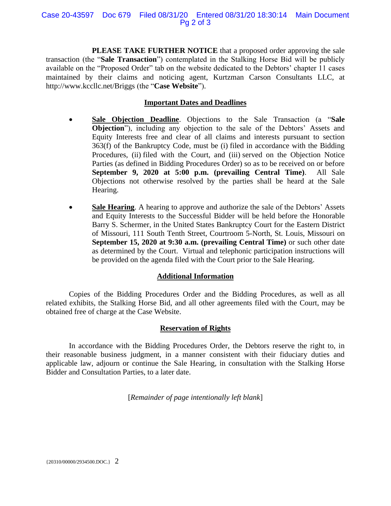#### Case 20-43597 Doc 679 Filed 08/31/20 Entered 08/31/20 18:30:14 Main Document Pg 2 of 3

**PLEASE TAKE FURTHER NOTICE** that a proposed order approving the sale transaction (the "**Sale Transaction**") contemplated in the Stalking Horse Bid will be publicly available on the "Proposed Order" tab on the website dedicated to the Debtors' chapter 11 cases maintained by their claims and noticing agent, Kurtzman Carson Consultants LLC, at http://www.kccllc.net/Briggs (the "**Case Website**").

# **Important Dates and Deadlines**

- **Sale Objection Deadline**. Objections to the Sale Transaction (a "**Sale Objection**"), including any objection to the sale of the Debtors' Assets and Equity Interests free and clear of all claims and interests pursuant to section 363(f) of the Bankruptcy Code, must be (i) filed in accordance with the Bidding Procedures, (ii) filed with the Court, and (iii) served on the Objection Notice Parties (as defined in Bidding Procedures Order) so as to be received on or before **September 9, 2020 at 5:00 p.m. (prevailing Central Time)**. All Sale Objections not otherwise resolved by the parties shall be heard at the Sale Hearing.
- **Sale Hearing**. A hearing to approve and authorize the sale of the Debtors' Assets and Equity Interests to the Successful Bidder will be held before the Honorable Barry S. Schermer, in the United States Bankruptcy Court for the Eastern District of Missouri, 111 South Tenth Street, Courtroom 5-North, St. Louis, Missouri on **September 15, 2020 at 9:30 a.m. (prevailing Central Time)** or such other date as determined by the Court. Virtual and telephonic participation instructions will be provided on the agenda filed with the Court prior to the Sale Hearing.

## **Additional Information**

Copies of the Bidding Procedures Order and the Bidding Procedures, as well as all related exhibits, the Stalking Horse Bid, and all other agreements filed with the Court, may be obtained free of charge at the Case Website.

## **Reservation of Rights**

In accordance with the Bidding Procedures Order, the Debtors reserve the right to, in their reasonable business judgment, in a manner consistent with their fiduciary duties and applicable law, adjourn or continue the Sale Hearing, in consultation with the Stalking Horse Bidder and Consultation Parties, to a later date.

[*Remainder of page intentionally left blank*]